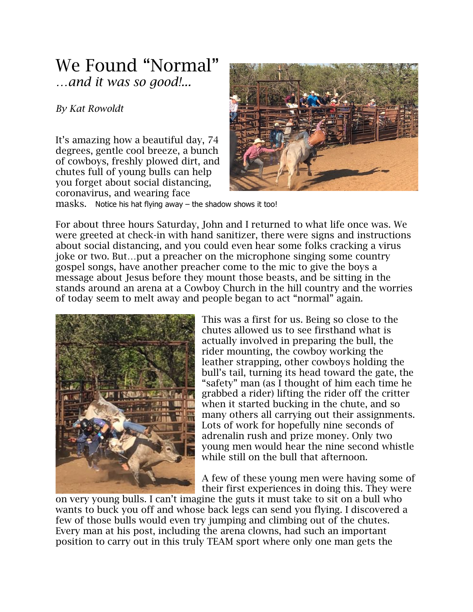## We Found "Normal" *…and it was so good!...*

## *By Kat Rowoldt*

It's amazing how a beautiful day, 74 degrees, gentle cool breeze, a bunch of cowboys, freshly plowed dirt, and chutes full of young bulls can help you forget about social distancing, coronavirus, and wearing face



masks. Notice his hat flying away – the shadow shows it too!

For about three hours Saturday, John and I returned to what life once was. We were greeted at check-in with hand sanitizer, there were signs and instructions about social distancing, and you could even hear some folks cracking a virus joke or two. But…put a preacher on the microphone singing some country gospel songs, have another preacher come to the mic to give the boys a message about Jesus before they mount those beasts, and be sitting in the stands around an arena at a Cowboy Church in the hill country and the worries of today seem to melt away and people began to act "normal" again.



This was a first for us. Being so close to the chutes allowed us to see firsthand what is actually involved in preparing the bull, the rider mounting, the cowboy working the leather strapping, other cowboys holding the bull's tail, turning its head toward the gate, the "safety" man (as I thought of him each time he grabbed a rider) lifting the rider off the critter when it started bucking in the chute, and so many others all carrying out their assignments. Lots of work for hopefully nine seconds of adrenalin rush and prize money. Only two young men would hear the nine second whistle while still on the bull that afternoon.

A few of these young men were having some of their first experiences in doing this. They were

on very young bulls. I can't imagine the guts it must take to sit on a bull who wants to buck you off and whose back legs can send you flying. I discovered a few of those bulls would even try jumping and climbing out of the chutes. Every man at his post, including the arena clowns, had such an important position to carry out in this truly TEAM sport where only one man gets the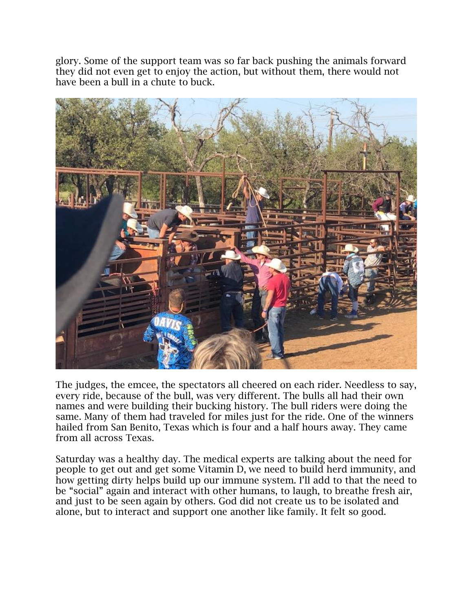glory. Some of the support team was so far back pushing the animals forward they did not even get to enjoy the action, but without them, there would not have been a bull in a chute to buck.



The judges, the emcee, the spectators all cheered on each rider. Needless to say, every ride, because of the bull, was very different. The bulls all had their own names and were building their bucking history. The bull riders were doing the same. Many of them had traveled for miles just for the ride. One of the winners hailed from San Benito, Texas which is four and a half hours away. They came from all across Texas.

Saturday was a healthy day. The medical experts are talking about the need for people to get out and get some Vitamin D, we need to build herd immunity, and how getting dirty helps build up our immune system. I'll add to that the need to be "social" again and interact with other humans, to laugh, to breathe fresh air, and just to be seen again by others. God did not create us to be isolated and alone, but to interact and support one another like family. It felt so good.